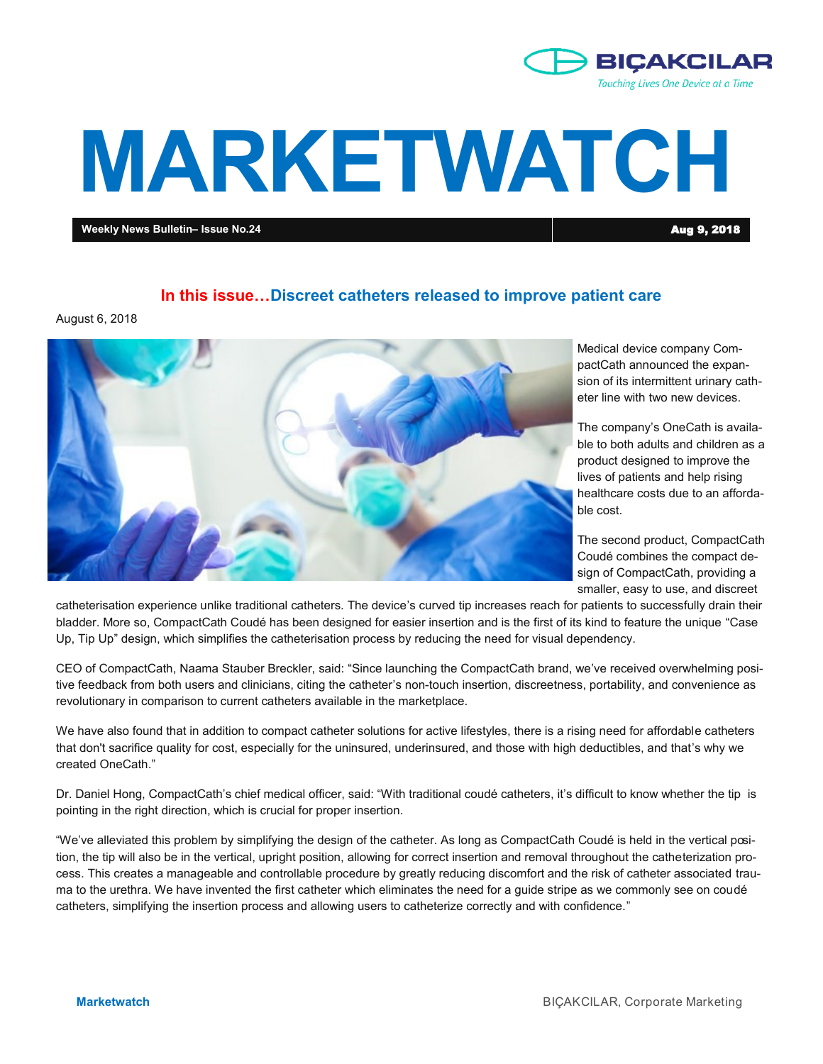

# **MARKETWATCH**

**Weekly News Bulletin– Issue No.24** Aug 9, 2018

# **In this issue…Discreet catheters released to improve patient care**

August 6, 2018



Medical device company CompactCath announced the expansion of its intermittent urinary catheter line with two new devices.

The company's OneCath is available to both adults and children as a product designed to improve the lives of patients and help rising healthcare costs due to an affordable cost.

The second product, CompactCath Coudé combines the compact design of CompactCath, providing a smaller, easy to use, and discreet

catheterisation experience unlike traditional catheters. The device's curved tip increases reach for patients to successfully drain their bladder. More so, CompactCath Coudé has been designed for easier insertion and is the first of its kind to feature the unique "Case Up, Tip Up" design, which simplifies the catheterisation process by reducing the need for visual dependency.

CEO of CompactCath, Naama Stauber Breckler, said: "Since launching the CompactCath brand, we've received overwhelming positive feedback from both users and clinicians, citing the catheter's non-touch insertion, discreetness, portability, and convenience as revolutionary in comparison to current catheters available in the marketplace.

We have also found that in addition to compact catheter solutions for active lifestyles, there is a rising need for affordable catheters that don't sacrifice quality for cost, especially for the uninsured, underinsured, and those with high deductibles, and that's why we created OneCath."

Dr. Daniel Hong, CompactCath's chief medical officer, said: "With traditional coudé catheters, it's difficult to know whether the tip is pointing in the right direction, which is crucial for proper insertion.

"We've alleviated this problem by simplifying the design of the catheter. As long as CompactCath Coudé is held in the vertical position, the tip will also be in the vertical, upright position, allowing for correct insertion and removal throughout the catheterization process. This creates a manageable and controllable procedure by greatly reducing discomfort and the risk of catheter associated trauma to the urethra. We have invented the first catheter which eliminates the need for a guide stripe as we commonly see on coudé catheters, simplifying the insertion process and allowing users to catheterize correctly and with confidence."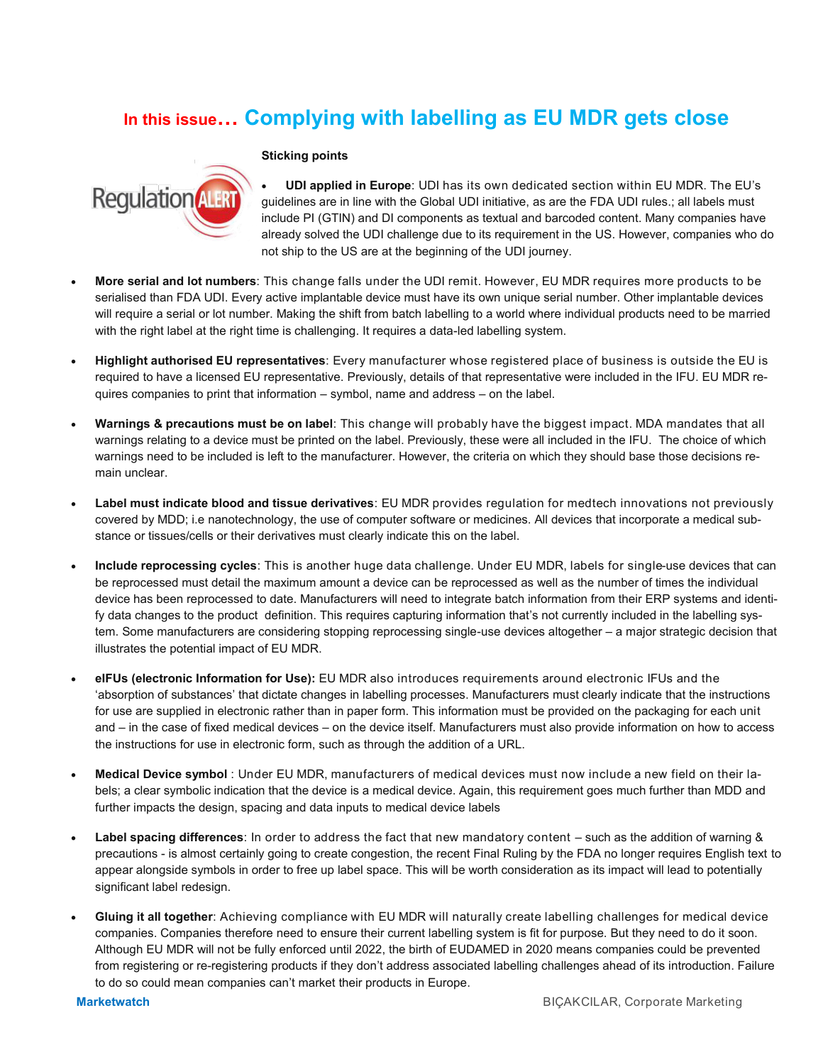# **In this issue… Complying with labelling as EU MDR gets close**



### **Sticking points**

- **UDI applied in Europe**: UDI has its own dedicated section within EU MDR. The EU's guidelines are in line with the Global UDI initiative, as are the FDA UDI rules.; all labels must include PI (GTIN) and DI components as textual and barcoded content. Many companies have already solved the UDI challenge due to its requirement in the US. However, companies who do not ship to the US are at the beginning of the UDI journey.
- **More serial and lot numbers**: This change falls under the UDI remit. However, EU MDR requires more products to be serialised than FDA UDI. Every active implantable device must have its own unique serial number. Other implantable devices will require a serial or lot number. Making the shift from batch labelling to a world where individual products need to be married with the right label at the right time is challenging. It requires a data-led labelling system.
- **Highlight authorised EU representatives**: Every manufacturer whose registered place of business is outside the EU is required to have a licensed EU representative. Previously, details of that representative were included in the IFU. EU MDR requires companies to print that information – symbol, name and address – on the label.
- **Warnings & precautions must be on label**: This change will probably have the biggest impact. MDA mandates that all warnings relating to a device must be printed on the label. Previously, these were all included in the IFU. The choice of which warnings need to be included is left to the manufacturer. However, the criteria on which they should base those decisions remain unclear.
- **Label must indicate blood and tissue derivatives**: EU MDR provides regulation for medtech innovations not previously covered by MDD; i.e nanotechnology, the use of computer software or medicines. All devices that incorporate a medical substance or tissues/cells or their derivatives must clearly indicate this on the label.
- **Include reprocessing cycles**: This is another huge data challenge. Under EU MDR, labels for single-use devices that can be reprocessed must detail the maximum amount a device can be reprocessed as well as the number of times the individual device has been reprocessed to date. Manufacturers will need to integrate batch information from their ERP systems and identify data changes to the product definition. This requires capturing information that's not currently included in the labelling system. Some manufacturers are considering stopping reprocessing single-use devices altogether – a major strategic decision that illustrates the potential impact of EU MDR.
- **eIFUs (electronic Information for Use):** EU MDR also introduces requirements around electronic IFUs and the 'absorption of substances' that dictate changes in labelling processes. Manufacturers must clearly indicate that the instructions for use are supplied in electronic rather than in paper form. This information must be provided on the packaging for each unit and – in the case of fixed medical devices – on the device itself. Manufacturers must also provide information on how to access the instructions for use in electronic form, such as through the addition of a URL.
- **Medical Device symbol** : Under EU MDR, manufacturers of medical devices must now include a new field on their labels; a clear symbolic indication that the device is a medical device. Again, this requirement goes much further than MDD and further impacts the design, spacing and data inputs to medical device labels
- **Label spacing differences**: In order to address the fact that new mandatory content such as the addition of warning & precautions - is almost certainly going to create congestion, the recent Final Ruling by the FDA no longer requires English text to appear alongside symbols in order to free up label space. This will be worth consideration as its impact will lead to potentially significant label redesign.
- **Gluing it all together**: Achieving compliance with EU MDR will naturally create labelling challenges for medical device companies. Companies therefore need to ensure their current labelling system is fit for purpose. But they need to do it soon. Although EU MDR will not be fully enforced until 2022, the birth of EUDAMED in 2020 means companies could be prevented from registering or re-registering products if they don't address associated labelling challenges ahead of its introduction. Failure to do so could mean companies can't market their products in Europe.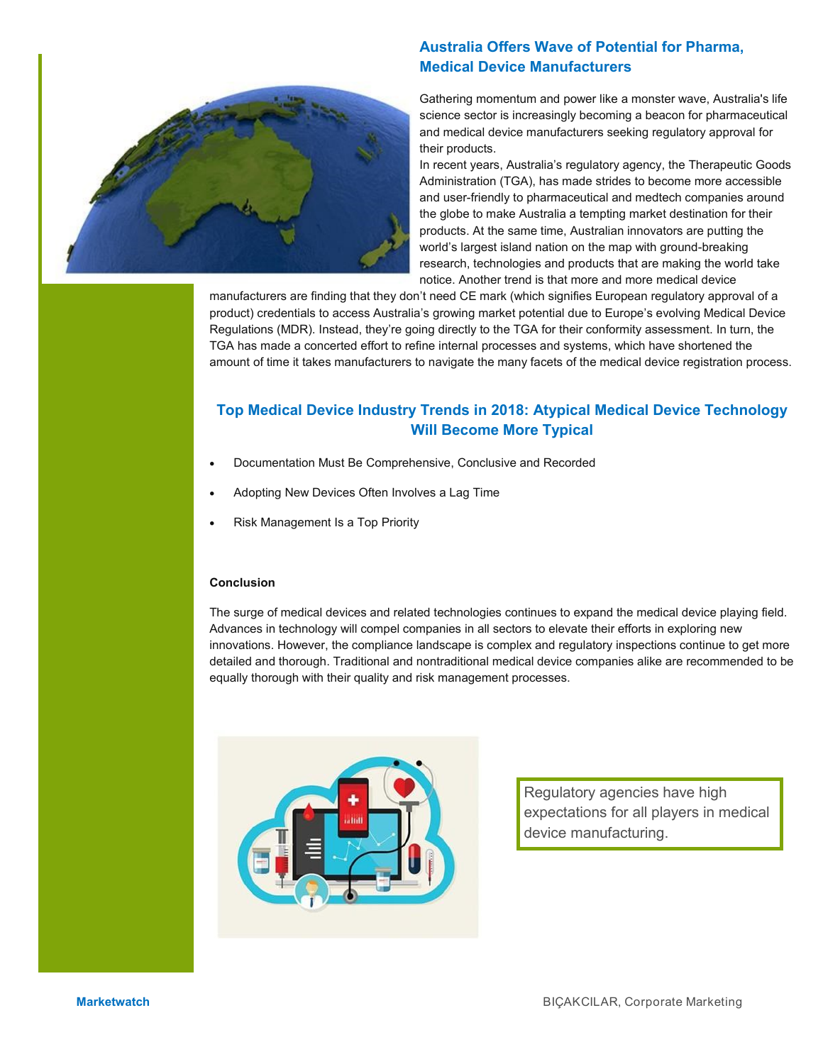

# **Australia Offers Wave of Potential for Pharma, Medical Device Manufacturers**

Gathering momentum and power like a monster wave, Australia's life science sector is increasingly becoming a beacon for pharmaceutical and medical device manufacturers seeking regulatory approval for their products.

In recent years, Australia's regulatory agency, the Therapeutic Goods Administration (TGA), has made strides to become more accessible and user-friendly to pharmaceutical and medtech companies around the globe to make Australia a tempting market destination for their products. At the same time, Australian innovators are putting the world's largest island nation on the map with ground-breaking research, technologies and products that are making the world take notice. Another trend is that more and more medical device

manufacturers are finding that they don't need CE mark (which signifies European regulatory approval of a product) credentials to access Australia's growing market potential due to Europe's evolving Medical Device Regulations (MDR). Instead, they're going directly to the TGA for their conformity assessment. In turn, the TGA has made a concerted effort to refine internal processes and systems, which have shortened the amount of time it takes manufacturers to navigate the many facets of the medical device registration process.

# **Top Medical Device Industry Trends in 2018: Atypical Medical Device Technology Will Become More Typical**

- Documentation Must Be Comprehensive, Conclusive and Recorded
- Adopting New Devices Often Involves a Lag Time
- Risk Management Is a Top Priority

### **Conclusion**

The surge of medical devices and related technologies continues to expand the medical device playing field. Advances in technology will compel companies in all sectors to elevate their efforts in exploring new innovations. However, the compliance landscape is complex and regulatory inspections continue to get more detailed and thorough. Traditional and nontraditional medical device companies alike are recommended to be equally thorough with their quality and risk management processes.



Regulatory agencies have high expectations for all players in medical device manufacturing.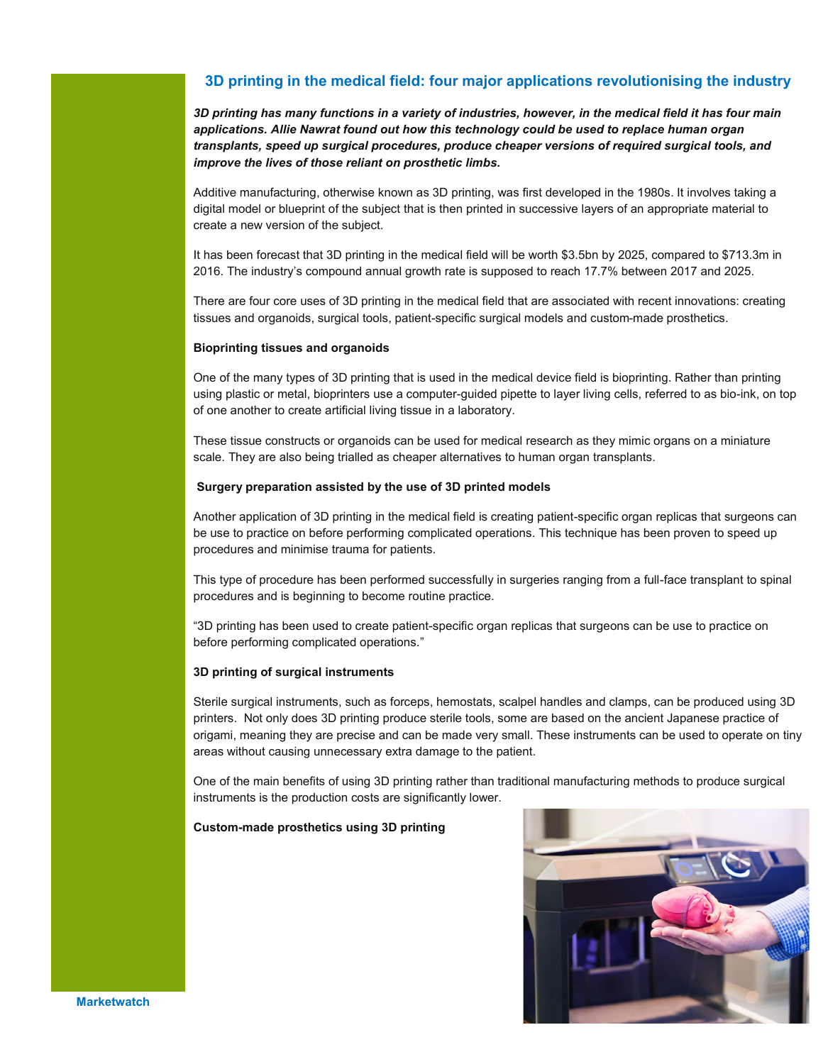# **3D printing in the medical field: four major applications revolutionising the industry**

*3D printing has many functions in a variety of industries, however, in the medical field it has four main applications. Allie Nawrat found out how this technology could be used to replace human organ transplants, speed up surgical procedures, produce cheaper versions of required surgical tools, and improve the lives of those reliant on prosthetic limbs.* 

Additive manufacturing, otherwise known as 3D printing, was first developed in the 1980s. It involves taking a digital model or blueprint of the subject that is then printed in successive layers of an appropriate material to create a new version of the subject.

It has been forecast that 3D printing in the medical field will be worth \$3.5bn by 2025, compared to \$713.3m in 2016. The industry's compound annual growth rate is supposed to reach 17.7% between 2017 and 2025.

There are four core uses of 3D printing in the medical field that are associated with recent innovations: creating tissues and organoids, surgical tools, patient-specific surgical models and custom-made prosthetics.

### **Bioprinting tissues and organoids**

One of the many types of 3D printing that is used in the medical device field is bioprinting. Rather than printing using plastic or metal, bioprinters use a computer-guided pipette to layer living cells, referred to as bio-ink, on top of one another to create artificial living tissue in a laboratory.

These tissue constructs or organoids can be used for medical research as they mimic organs on a miniature scale. They are also being trialled as cheaper alternatives to human organ transplants.

### **Surgery preparation assisted by the use of 3D printed models**

Another application of 3D printing in the medical field is creating patient-specific organ replicas that surgeons can be use to practice on before performing complicated operations. This technique has been proven to speed up procedures and minimise trauma for patients.

This type of procedure has been performed successfully in surgeries ranging from a full-face transplant to spinal procedures and is beginning to become routine practice.

"3D printing has been used to create patient-specific organ replicas that surgeons can be use to practice on before performing complicated operations."

### **3D printing of surgical instruments**

Sterile surgical instruments, such as forceps, hemostats, scalpel handles and clamps, can be produced using 3D printers. Not only does 3D printing produce sterile tools, some are based on the ancient Japanese practice of origami, meaning they are precise and can be made very small. These instruments can be used to operate on tiny areas without causing unnecessary extra damage to the patient.

One of the main benefits of using 3D printing rather than traditional manufacturing methods to produce surgical instruments is the production costs are significantly lower.

## **Custom-made prosthetics using 3D printing**